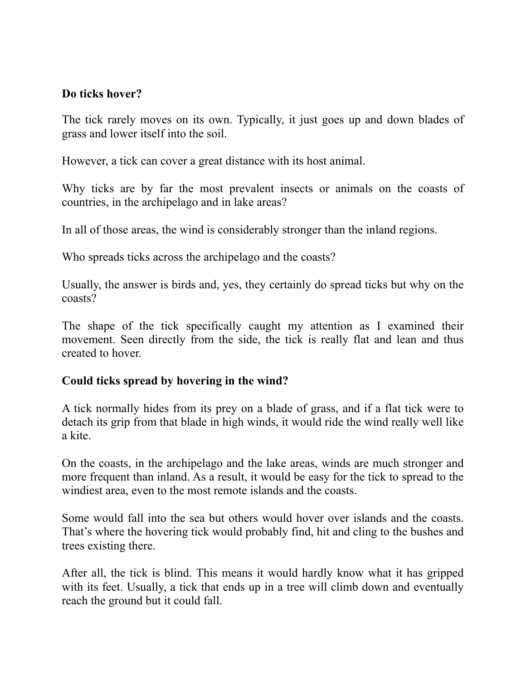## **Do ticks hover?**

The tick rarely moves on its own. Typically, it just goes up and down blades of grass and lower itself into the soil.

However, a tick can cover a great distance with its host animal.

Why ticks are by far the most prevalent insects or animals on the coasts of countries, in the archipelago and in lake areas?

In all of those areas, the wind is considerably stronger than the inland regions.

Who spreads ticks across the archipelago and the coasts?

Usually, the answer is birds and, yes, they certainly do spread ticks but why on the coasts?

The shape of the tick specifically caught my attention as I examined their movement. Seen directly from the side, the tick is really flat and lean and thus created to hover.

### **Could ticks spread by hovering in the wind?**

A tick normally hides from its prey on a blade of grass, and if a flat tick were to detach its grip from that blade in high winds, it would ride the wind really well like a kite.

On the coasts, in the archipelago and the lake areas, winds are much stronger and more frequent than inland. As a result, it would be easy for the tick to spread to the windiest area, even to the most remote islands and the coasts.

Some would fall into the sea but others would hover over islands and the coasts. That's where the hovering tick would probably find, hit and cling to the bushes and trees existing there.

After all, the tick is blind. This means it would hardly know what it has gripped with its feet. Usually, a tick that ends up in a tree will climb down and eventually reach the ground but it could fall.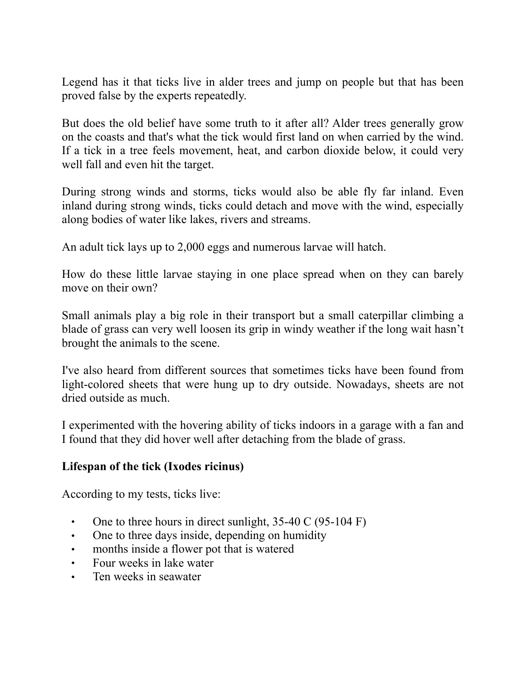Legend has it that ticks live in alder trees and jump on people but that has been proved false by the experts repeatedly.

But does the old belief have some truth to it after all? Alder trees generally grow on the coasts and that's what the tick would first land on when carried by the wind. If a tick in a tree feels movement, heat, and carbon dioxide below, it could very well fall and even hit the target.

During strong winds and storms, ticks would also be able fly far inland. Even inland during strong winds, ticks could detach and move with the wind, especially along bodies of water like lakes, rivers and streams.

An adult tick lays up to 2,000 eggs and numerous larvae will hatch.

How do these little larvae staying in one place spread when on they can barely move on their own?

Small animals play a big role in their transport but a small caterpillar climbing a blade of grass can very well loosen its grip in windy weather if the long wait hasn't brought the animals to the scene.

I've also heard from different sources that sometimes ticks have been found from light-colored sheets that were hung up to dry outside. Nowadays, sheets are not dried outside as much.

I experimented with the hovering ability of ticks indoors in a garage with a fan and I found that they did hover well after detaching from the blade of grass.

### **Lifespan of the tick (Ixodes ricinus)**

According to my tests, ticks live:

- One to three hours in direct sunlight,  $35-40 \text{ C} (95-104 \text{ F})$
- One to three days inside, depending on humidity
- months inside a flower pot that is watered
- Four weeks in lake water
- Ten weeks in seawater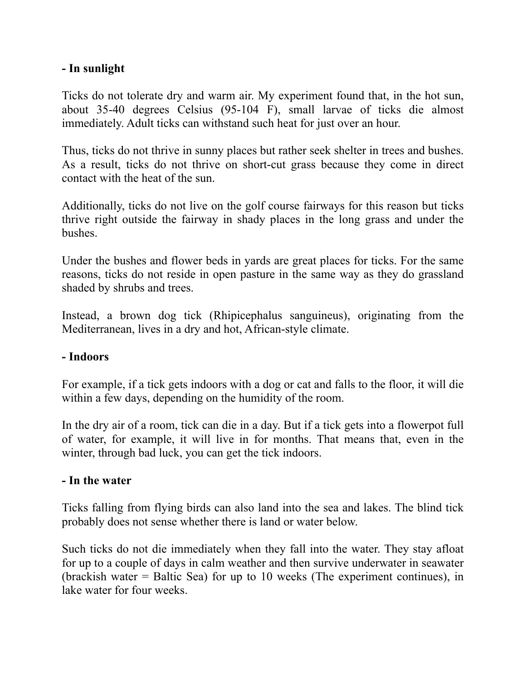## **- In sunlight**

Ticks do not tolerate dry and warm air. My experiment found that, in the hot sun, about 35-40 degrees Celsius (95-104 F), small larvae of ticks die almost immediately. Adult ticks can withstand such heat for just over an hour.

Thus, ticks do not thrive in sunny places but rather seek shelter in trees and bushes. As a result, ticks do not thrive on short-cut grass because they come in direct contact with the heat of the sun.

Additionally, ticks do not live on the golf course fairways for this reason but ticks thrive right outside the fairway in shady places in the long grass and under the bushes.

Under the bushes and flower beds in yards are great places for ticks. For the same reasons, ticks do not reside in open pasture in the same way as they do grassland shaded by shrubs and trees.

Instead, a brown dog tick (Rhipicephalus sanguineus), originating from the Mediterranean, lives in a dry and hot, African-style climate.

### **- Indoors**

For example, if a tick gets indoors with a dog or cat and falls to the floor, it will die within a few days, depending on the humidity of the room.

In the dry air of a room, tick can die in a day. But if a tick gets into a flowerpot full of water, for example, it will live in for months. That means that, even in the winter, through bad luck, you can get the tick indoors.

### **- In the water**

Ticks falling from flying birds can also land into the sea and lakes. The blind tick probably does not sense whether there is land or water below.

Such ticks do not die immediately when they fall into the water. They stay afloat for up to a couple of days in calm weather and then survive underwater in seawater (brackish water = Baltic Sea) for up to 10 weeks (The experiment continues), in lake water for four weeks.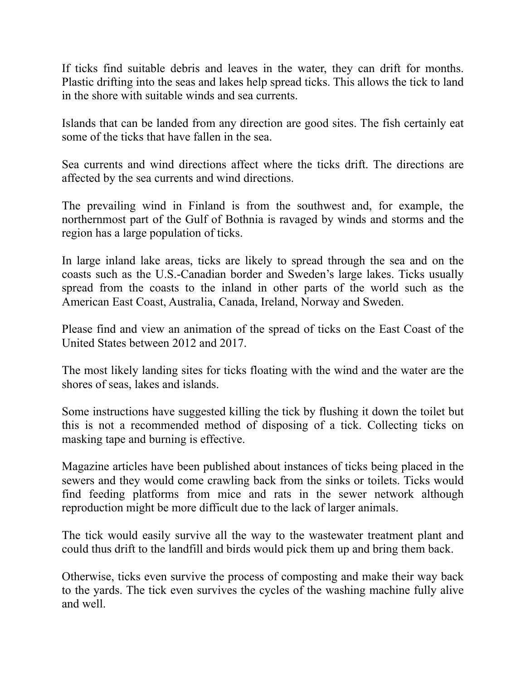If ticks find suitable debris and leaves in the water, they can drift for months. Plastic drifting into the seas and lakes help spread ticks. This allows the tick to land in the shore with suitable winds and sea currents.

Islands that can be landed from any direction are good sites. The fish certainly eat some of the ticks that have fallen in the sea.

Sea currents and wind directions affect where the ticks drift. The directions are affected by the sea currents and wind directions.

The prevailing wind in Finland is from the southwest and, for example, the northernmost part of the Gulf of Bothnia is ravaged by winds and storms and the region has a large population of ticks.

In large inland lake areas, ticks are likely to spread through the sea and on the coasts such as the U.S.-Canadian border and Sweden's large lakes. Ticks usually spread from the coasts to the inland in other parts of the world such as the American East Coast, Australia, Canada, Ireland, Norway and Sweden.

Please find and view an animation of the spread of ticks on the East Coast of the United States between 2012 and 2017.

The most likely landing sites for ticks floating with the wind and the water are the shores of seas, lakes and islands.

Some instructions have suggested killing the tick by flushing it down the toilet but this is not a recommended method of disposing of a tick. Collecting ticks on masking tape and burning is effective.

Magazine articles have been published about instances of ticks being placed in the sewers and they would come crawling back from the sinks or toilets. Ticks would find feeding platforms from mice and rats in the sewer network although reproduction might be more difficult due to the lack of larger animals.

The tick would easily survive all the way to the wastewater treatment plant and could thus drift to the landfill and birds would pick them up and bring them back.

Otherwise, ticks even survive the process of composting and make their way back to the yards. The tick even survives the cycles of the washing machine fully alive and well.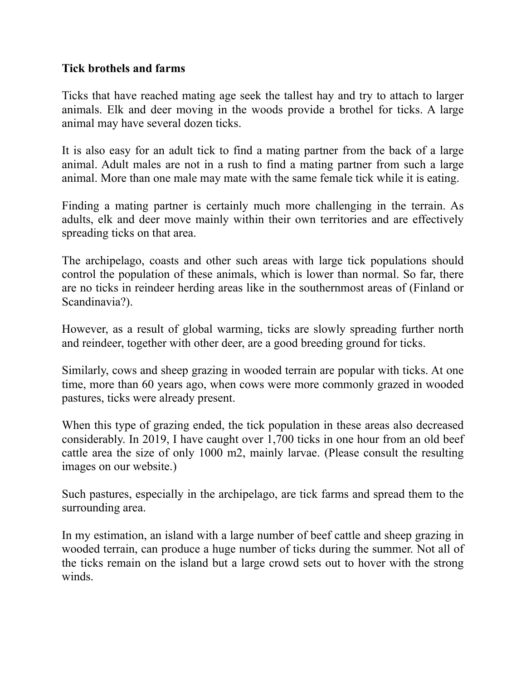## **Tick brothels and farms**

Ticks that have reached mating age seek the tallest hay and try to attach to larger animals. Elk and deer moving in the woods provide a brothel for ticks. A large animal may have several dozen ticks.

It is also easy for an adult tick to find a mating partner from the back of a large animal. Adult males are not in a rush to find a mating partner from such a large animal. More than one male may mate with the same female tick while it is eating.

Finding a mating partner is certainly much more challenging in the terrain. As adults, elk and deer move mainly within their own territories and are effectively spreading ticks on that area.

The archipelago, coasts and other such areas with large tick populations should control the population of these animals, which is lower than normal. So far, there are no ticks in reindeer herding areas like in the southernmost areas of (Finland or Scandinavia?).

However, as a result of global warming, ticks are slowly spreading further north and reindeer, together with other deer, are a good breeding ground for ticks.

Similarly, cows and sheep grazing in wooded terrain are popular with ticks. At one time, more than 60 years ago, when cows were more commonly grazed in wooded pastures, ticks were already present.

When this type of grazing ended, the tick population in these areas also decreased considerably. In 2019, I have caught over 1,700 ticks in one hour from an old beef cattle area the size of only 1000 m2, mainly larvae. (Please consult the resulting images on our website.)

Such pastures, especially in the archipelago, are tick farms and spread them to the surrounding area.

In my estimation, an island with a large number of beef cattle and sheep grazing in wooded terrain, can produce a huge number of ticks during the summer. Not all of the ticks remain on the island but a large crowd sets out to hover with the strong winds.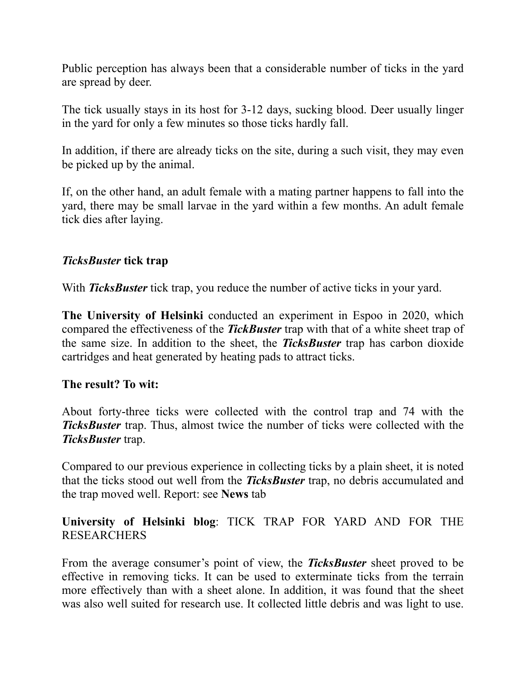Public perception has always been that a considerable number of ticks in the yard are spread by deer.

The tick usually stays in its host for 3-12 days, sucking blood. Deer usually linger in the yard for only a few minutes so those ticks hardly fall.

In addition, if there are already ticks on the site, during a such visit, they may even be picked up by the animal.

If, on the other hand, an adult female with a mating partner happens to fall into the yard, there may be small larvae in the yard within a few months. An adult female tick dies after laying.

## *TicksBuster* **tick trap**

With *TicksBuster* tick trap, you reduce the number of active ticks in your vard.

**The University of Helsinki** conducted an experiment in Espoo in 2020, which compared the effectiveness of the *TickBuster* trap with that of a white sheet trap of the same size. In addition to the sheet, the *TicksBuster* trap has carbon dioxide cartridges and heat generated by heating pads to attract ticks.

### **The result? To wit:**

About forty-three ticks were collected with the control trap and 74 with the *TicksBuster* trap. Thus, almost twice the number of ticks were collected with the *TicksBuster* trap.

Compared to our previous experience in collecting ticks by a plain sheet, it is noted that the ticks stood out well from the *TicksBuster* trap, no debris accumulated and the trap moved well. Report: see **News** tab

## **University of Helsinki blog**: TICK TRAP FOR YARD AND FOR THE RESEARCHERS

From the average consumer's point of view, the *TicksBuster* sheet proved to be effective in removing ticks. It can be used to exterminate ticks from the terrain more effectively than with a sheet alone. In addition, it was found that the sheet was also well suited for research use. It collected little debris and was light to use.